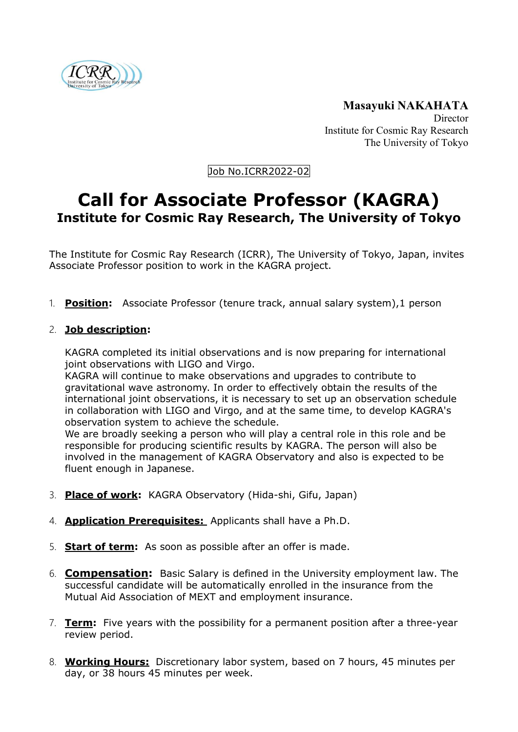

**Masayuki NAKAHATA Director** Institute for Cosmic Ray Research The University of Tokyo

Job No.ICRR2022-02

## **Call for Associate Professor (KAGRA) Institute for Cosmic Ray Research, The University of Tokyo**

The Institute for Cosmic Ray Research (ICRR), The University of Tokyo, Japan, invites Associate Professor position to work in the KAGRA project.

1. **Position:** Associate Professor (tenure track, annual salary system),1 person

## 2. **Job description:**

KAGRA completed its initial observations and is now preparing for international joint observations with LIGO and Virgo.

KAGRA will continue to make observations and upgrades to contribute to gravitational wave astronomy. In order to effectively obtain the results of the international joint observations, it is necessary to set up an observation schedule in collaboration with LIGO and Virgo, and at the same time, to develop KAGRA's observation system to achieve the schedule.

We are broadly seeking a person who will play a central role in this role and be responsible for producing scientific results by KAGRA. The person will also be involved in the management of KAGRA Observatory and also is expected to be fluent enough in Japanese.

- 3. **Place of work:** KAGRA Observatory (Hida-shi, Gifu, Japan)
- 4. **Application Prerequisites:** Applicants shall have a Ph.D.
- 5. **Start of term:** As soon as possible after an offer is made.
- 6. **Compensation:** Basic Salary is defined in the University employment law. The successful candidate will be automatically enrolled in the insurance from the Mutual Aid Association of MEXT and employment insurance.
- 7. **Term:** Five years with the possibility for a permanent position after a three-year review period.
- 8. **Working Hours:** Discretionary labor system, based on 7 hours, 45 minutes per day, or 38 hours 45 minutes per week.